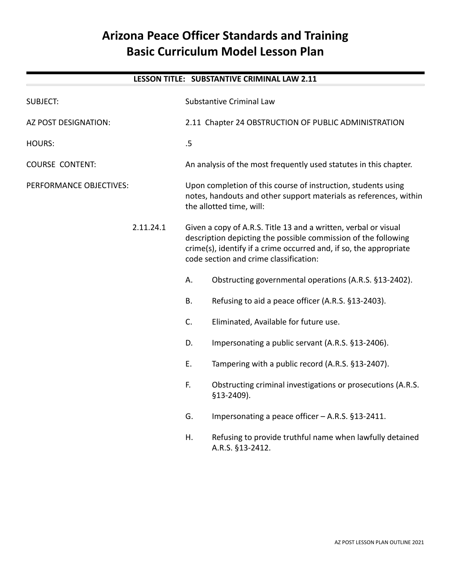# **Arizona Peace Officer Standards and Training Basic Curriculum Model Lesson Plan**

## **LESSON TITLE: SUBSTANTIVE CRIMINAL LAW 2.11**

| <b>SUBJECT:</b>         |           | <b>Substantive Criminal Law</b>                                                                                                                                                                                                                   |                                                                              |
|-------------------------|-----------|---------------------------------------------------------------------------------------------------------------------------------------------------------------------------------------------------------------------------------------------------|------------------------------------------------------------------------------|
| AZ POST DESIGNATION:    |           | 2.11 Chapter 24 OBSTRUCTION OF PUBLIC ADMINISTRATION                                                                                                                                                                                              |                                                                              |
| <b>HOURS:</b>           |           | .5                                                                                                                                                                                                                                                |                                                                              |
| <b>COURSE CONTENT:</b>  |           | An analysis of the most frequently used statutes in this chapter.                                                                                                                                                                                 |                                                                              |
| PERFORMANCE OBJECTIVES: |           | Upon completion of this course of instruction, students using<br>notes, handouts and other support materials as references, within<br>the allotted time, will:                                                                                    |                                                                              |
|                         | 2.11.24.1 | Given a copy of A.R.S. Title 13 and a written, verbal or visual<br>description depicting the possible commission of the following<br>crime(s), identify if a crime occurred and, if so, the appropriate<br>code section and crime classification: |                                                                              |
|                         |           | А.                                                                                                                                                                                                                                                | Obstructing governmental operations (A.R.S. §13-2402).                       |
|                         |           | <b>B.</b>                                                                                                                                                                                                                                         | Refusing to aid a peace officer (A.R.S. §13-2403).                           |
|                         |           | C.                                                                                                                                                                                                                                                | Eliminated, Available for future use.                                        |
|                         |           | D.                                                                                                                                                                                                                                                | Impersonating a public servant (A.R.S. §13-2406).                            |
|                         |           | E.                                                                                                                                                                                                                                                | Tampering with a public record (A.R.S. §13-2407).                            |
|                         |           | F.                                                                                                                                                                                                                                                | Obstructing criminal investigations or prosecutions (A.R.S.<br>§13-2409).    |
|                         |           | G.                                                                                                                                                                                                                                                | Impersonating a peace officer - A.R.S. §13-2411.                             |
|                         |           | Η.                                                                                                                                                                                                                                                | Refusing to provide truthful name when lawfully detained<br>A.R.S. §13-2412. |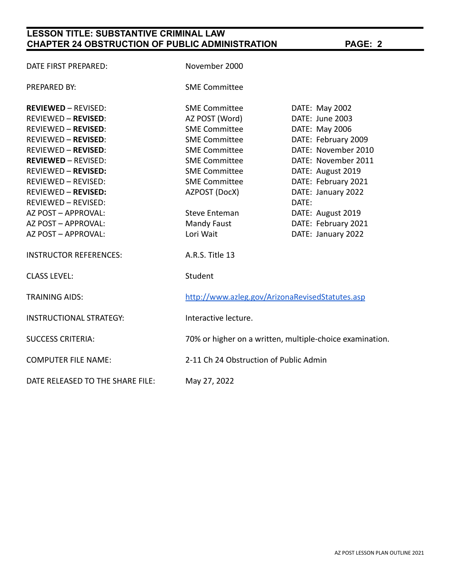# **LESSON TITLE: SUBSTANTIVE CRIMINAL LAW CHAPTER 24 OBSTRUCTION OF PUBLIC ADMINISTRATION PAGE: 2**

| DATE FIRST PREPARED:             | November 2000                                            |                     |  |
|----------------------------------|----------------------------------------------------------|---------------------|--|
| PREPARED BY:                     | <b>SME Committee</b>                                     |                     |  |
| <b>REVIEWED - REVISED:</b>       | <b>SME Committee</b>                                     | DATE: May 2002      |  |
| <b>REVIEWED - REVISED:</b>       | AZ POST (Word)                                           | DATE: June 2003     |  |
| <b>REVIEWED - REVISED:</b>       | <b>SME Committee</b>                                     | DATE: May 2006      |  |
| <b>REVIEWED - REVISED:</b>       | <b>SME Committee</b>                                     | DATE: February 2009 |  |
| <b>REVIEWED - REVISED:</b>       | <b>SME Committee</b>                                     | DATE: November 2010 |  |
| <b>REVIEWED - REVISED:</b>       | <b>SME Committee</b>                                     | DATE: November 2011 |  |
| <b>REVIEWED - REVISED:</b>       | <b>SME Committee</b>                                     | DATE: August 2019   |  |
| <b>REVIEWED - REVISED:</b>       | <b>SME Committee</b>                                     | DATE: February 2021 |  |
| <b>REVIEWED - REVISED:</b>       | AZPOST (DocX)                                            | DATE: January 2022  |  |
| <b>REVIEWED - REVISED:</b>       |                                                          | DATE:               |  |
| AZ POST - APPROVAL:              | <b>Steve Enteman</b>                                     | DATE: August 2019   |  |
| AZ POST - APPROVAL:              | <b>Mandy Faust</b>                                       | DATE: February 2021 |  |
| AZ POST - APPROVAL:              | Lori Wait                                                | DATE: January 2022  |  |
| <b>INSTRUCTOR REFERENCES:</b>    | A.R.S. Title 13                                          |                     |  |
| <b>CLASS LEVEL:</b>              | Student                                                  |                     |  |
| <b>TRAINING AIDS:</b>            | http://www.azleg.gov/ArizonaRevisedStatutes.asp          |                     |  |
| <b>INSTRUCTIONAL STRATEGY:</b>   | Interactive lecture.                                     |                     |  |
| <b>SUCCESS CRITERIA:</b>         | 70% or higher on a written, multiple-choice examination. |                     |  |
| <b>COMPUTER FILE NAME:</b>       | 2-11 Ch 24 Obstruction of Public Admin                   |                     |  |
| DATE RELEASED TO THE SHARE FILE: | May 27, 2022                                             |                     |  |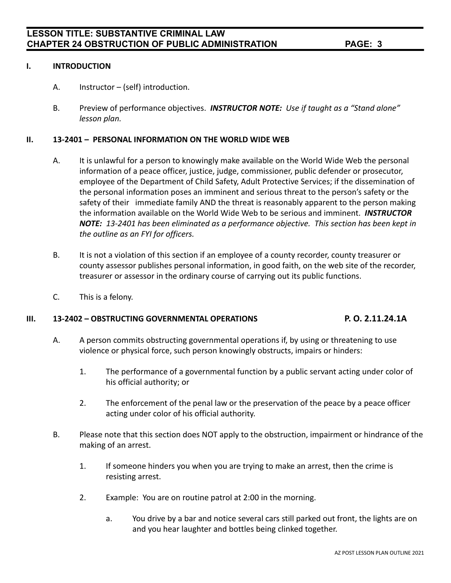#### **I. INTRODUCTION**

- A. Instructor (self) introduction.
- B. Preview of performance objectives. *INSTRUCTOR NOTE: Use if taught as a "Stand alone" lesson plan.*

#### **II. 13-2401 – PERSONAL INFORMATION ON THE WORLD WIDE WEB**

- A. It is unlawful for a person to knowingly make available on the World Wide Web the personal information of a peace officer, justice, judge, commissioner, public defender or prosecutor, employee of the Department of Child Safety, Adult Protective Services; if the dissemination of the personal information poses an imminent and serious threat to the person's safety or the safety of their immediate family AND the threat is reasonably apparent to the person making the information available on the World Wide Web to be serious and imminent. *INSTRUCTOR NOTE: 13-2401 has been eliminated as a performance objective. This section has been kept in the outline as an FYI for officers.*
- B. It is not a violation of this section if an employee of a county recorder, county treasurer or county assessor publishes personal information, in good faith, on the web site of the recorder, treasurer or assessor in the ordinary course of carrying out its public functions.
- C. This is a felony.

### **III. 13-2402 – OBSTRUCTING GOVERNMENTAL OPERATIONS P. O. 2.11.24.1A**

- A. A person commits obstructing governmental operations if, by using or threatening to use violence or physical force, such person knowingly obstructs, impairs or hinders:
	- 1. The performance of a governmental function by a public servant acting under color of his official authority; or
	- 2. The enforcement of the penal law or the preservation of the peace by a peace officer acting under color of his official authority.
- B. Please note that this section does NOT apply to the obstruction, impairment or hindrance of the making of an arrest.
	- 1. If someone hinders you when you are trying to make an arrest, then the crime is resisting arrest.
	- 2. Example: You are on routine patrol at 2:00 in the morning.
		- a. You drive by a bar and notice several cars still parked out front, the lights are on and you hear laughter and bottles being clinked together.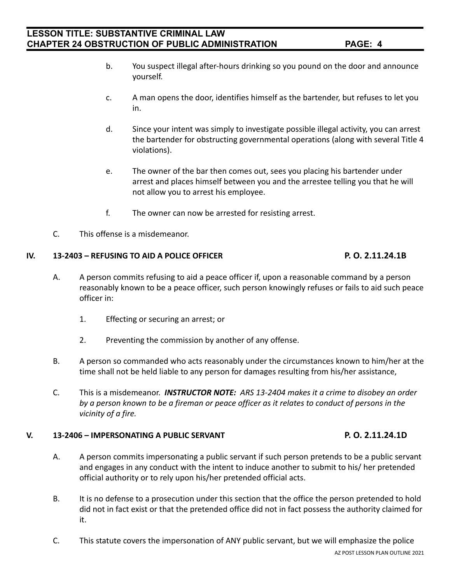- b. You suspect illegal after-hours drinking so you pound on the door and announce yourself.
- c. A man opens the door, identifies himself as the bartender, but refuses to let you in.
- d. Since your intent was simply to investigate possible illegal activity, you can arrest the bartender for obstructing governmental operations (along with several Title 4 violations).
- e. The owner of the bar then comes out, sees you placing his bartender under arrest and places himself between you and the arrestee telling you that he will not allow you to arrest his employee.
- f. The owner can now be arrested for resisting arrest.
- C. This offense is a misdemeanor.

### **IV. 13-2403 – REFUSING TO AID A POLICE OFFICER P. O. 2.11.24.1B**

- A. A person commits refusing to aid a peace officer if, upon a reasonable command by a person reasonably known to be a peace officer, such person knowingly refuses or fails to aid such peace officer in:
	- 1. Effecting or securing an arrest; or
	- 2. Preventing the commission by another of any offense.
- B. A person so commanded who acts reasonably under the circumstances known to him/her at the time shall not be held liable to any person for damages resulting from his/her assistance,
- C. This is a misdemeanor. *INSTRUCTOR NOTE: ARS 13-2404 makes it a crime to disobey an order by a person known to be a fireman or peace officer as it relates to conduct of persons in the vicinity of a fire.*

### **V. 13-2406 – IMPERSONATING A PUBLIC SERVANT P. O. 2.11.24.1D**

- A. A person commits impersonating a public servant if such person pretends to be a public servant and engages in any conduct with the intent to induce another to submit to his/ her pretended official authority or to rely upon his/her pretended official acts.
- B. It is no defense to a prosecution under this section that the office the person pretended to hold did not in fact exist or that the pretended office did not in fact possess the authority claimed for it.
- C. This statute covers the impersonation of ANY public servant, but we will emphasize the police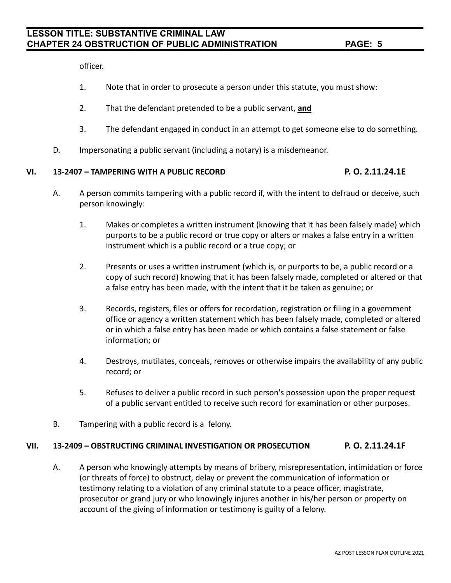officer.

- 1. Note that in order to prosecute a person under this statute, you must show:
- 2. That the defendant pretended to be a public servant, **and**
- 3. The defendant engaged in conduct in an attempt to get someone else to do something.
- D. Impersonating a public servant (including a notary) is a misdemeanor.

#### **VI. 13-2407 – TAMPERING WITH A PUBLIC RECORD P. O. 2.11.24.1E**

- A. A person commits tampering with a public record if, with the intent to defraud or deceive, such person knowingly:
	- 1. Makes or completes a written instrument (knowing that it has been falsely made) which purports to be a public record or true copy or alters or makes a false entry in a written instrument which is a public record or a true copy; or
	- 2. Presents or uses a written instrument (which is, or purports to be, a public record or a copy of such record) knowing that it has been falsely made, completed or altered or that a false entry has been made, with the intent that it be taken as genuine; or
	- 3. Records, registers, files or offers for recordation, registration or filing in a government office or agency a written statement which has been falsely made, completed or altered or in which a false entry has been made or which contains a false statement or false information; or
	- 4. Destroys, mutilates, conceals, removes or otherwise impairs the availability of any public record; or
	- 5. Refuses to deliver a public record in such person's possession upon the proper request of a public servant entitled to receive such record for examination or other purposes.
- B. Tampering with a public record is a felony.

### **VII. 13-2409 – OBSTRUCTING CRIMINAL INVESTIGATION OR PROSECUTION P. O. 2.11.24.1F**

A. A person who knowingly attempts by means of bribery, misrepresentation, intimidation or force (or threats of force) to obstruct, delay or prevent the communication of information or testimony relating to a violation of any criminal statute to a peace officer, magistrate, prosecutor or grand jury or who knowingly injures another in his/her person or property on account of the giving of information or testimony is guilty of a felony.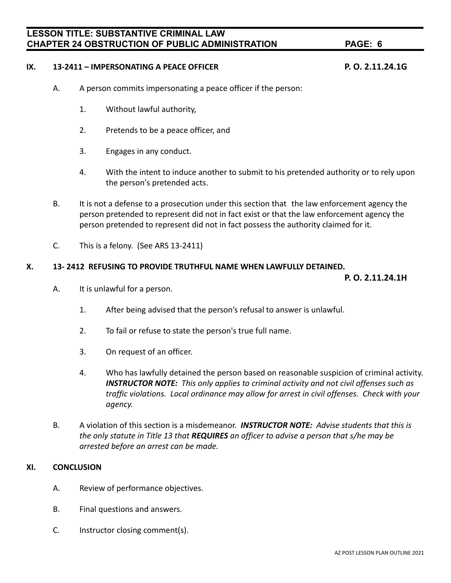# **LESSON TITLE: SUBSTANTIVE CRIMINAL LAW CHAPTER 24 OBSTRUCTION OF PUBLIC ADMINISTRATION PAGE: 6**

#### **IX. 13-2411 – IMPERSONATING A PEACE OFFICER P. O. 2.11.24.1G**

- A. A person commits impersonating a peace officer if the person:
	- 1. Without lawful authority,
	- 2. Pretends to be a peace officer, and
	- 3. Engages in any conduct.
	- 4. With the intent to induce another to submit to his pretended authority or to rely upon the person's pretended acts.
- B. It is not a defense to a prosecution under this section that the law enforcement agency the person pretended to represent did not in fact exist or that the law enforcement agency the person pretended to represent did not in fact possess the authority claimed for it.
- C. This is a felony. (See ARS 13-2411)

#### **X. 13- 2412 REFUSING TO PROVIDE TRUTHFUL NAME WHEN LAWFULLY DETAINED.**

**P. O. 2.11.24.1H**

- A. It is unlawful for a person.
	- 1. After being advised that the person's refusal to answer is unlawful.
	- 2. To fail or refuse to state the person's true full name.
	- 3. On request of an officer.
	- 4. Who has lawfully detained the person based on reasonable suspicion of criminal activity. *INSTRUCTOR NOTE: This only applies to criminal activity and not civil offenses such as traffic violations. Local ordinance may allow for arrest in civil offenses. Check with your agency.*
- B. A violation of this section is a misdemeanor. *INSTRUCTOR NOTE: Advise students that this is the only statute in Title 13 that REQUIRES an officer to advise a person that s/he may be arrested before an arrest can be made.*

#### **XI. CONCLUSION**

- A. Review of performance objectives.
- B. Final questions and answers.
- C. Instructor closing comment(s).